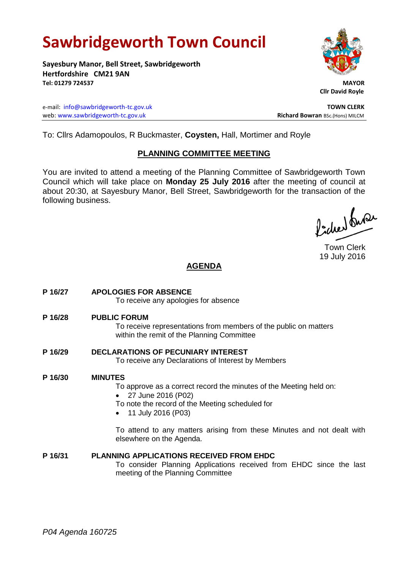# **Sawbridgeworth Town Council**

**Sayesbury Manor, Bell Street, Sawbridgeworth Hertfordshire CM21 9AN Tel: 01279 724537 MAYOR**

e-mail: [info@sawbridgeworth-tc.gov.uk](mailto:info@sawbridgeworth-tc.gov.uk) **TOWN CLERK** web: www.sawbridgeworth-tc.gov.uk<br>
Richard Bowran BSc.(Hons) MILCM



 **Cllr David Royle**

To: Cllrs Adamopoulos, R Buckmaster, **Coysten,** Hall, Mortimer and Royle

## **PLANNING COMMITTEE MEETING**

You are invited to attend a meeting of the Planning Committee of Sawbridgeworth Town Council which will take place on **Monday 25 July 2016** after the meeting of council at about 20:30, at Sayesbury Manor, Bell Street, Sawbridgeworth for the transaction of the following business.

ladred burer

Town Clerk 19 July 2016

# **AGENDA**

- **P 16/27 APOLOGIES FOR ABSENCE** To receive any apologies for absence **P 16/28 PUBLIC FORUM** To receive representations from members of the public on matters within the remit of the Planning Committee **P 16/29 DECLARATIONS OF PECUNIARY INTEREST** To receive any Declarations of Interest by Members **P 16/30 MINUTES** To approve as a correct record the minutes of the Meeting held on: 27 June 2016 (P02)
	- To note the record of the Meeting scheduled for
	- 11 July 2016 (P03)

To attend to any matters arising from these Minutes and not dealt with elsewhere on the Agenda.

#### **P 16/31 PLANNING APPLICATIONS RECEIVED FROM EHDC**

To consider Planning Applications received from EHDC since the last meeting of the Planning Committee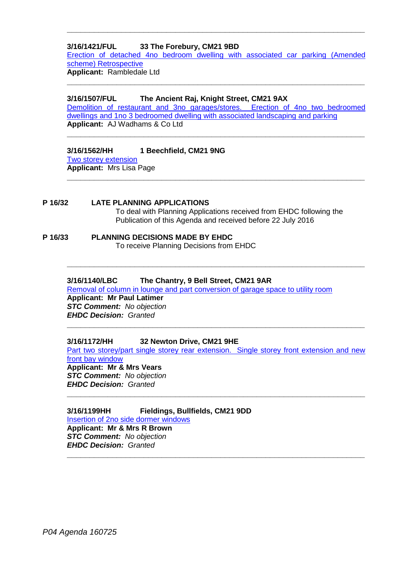#### **3/16/1421/FUL 33 The Forebury, CM21 9BD**

Erection of detached 4no [bedroom dwelling with associated car parking \(Amended](https://publicaccess.eastherts.gov.uk/online-applications/applicationDetails.do?activeTab=summary&keyVal=O92ATJGL00X00)  [scheme\) Retrospective](https://publicaccess.eastherts.gov.uk/online-applications/applicationDetails.do?activeTab=summary&keyVal=O92ATJGL00X00) **Applicant:** Rambledale Ltd

**\_\_\_\_\_\_\_\_\_\_\_\_\_\_\_\_\_\_\_\_\_\_\_\_\_\_\_\_\_\_\_\_\_\_\_\_\_\_\_\_\_\_\_\_\_\_\_\_\_\_\_\_\_\_\_\_\_\_\_\_\_\_\_\_\_\_**

**\_\_\_\_\_\_\_\_\_\_\_\_\_\_\_\_\_\_\_\_\_\_\_\_\_\_\_\_\_\_\_\_\_\_\_\_\_\_\_\_\_\_\_\_\_\_\_\_\_\_\_\_\_\_\_\_\_\_\_\_\_\_\_\_\_\_**

#### **3/16/1507/FUL The Ancient Raj, Knight Street, CM21 9AX**

[Demolition of restaurant and 3no garages/stores. Erection of 4no two bedroomed](https://publicaccess.eastherts.gov.uk/online-applications/applicationDetails.do?activeTab=summary&keyVal=O9MJI5GLKI100)  [dwellings and 1no 3 bedroomed dwelling with associated landscaping and parking](https://publicaccess.eastherts.gov.uk/online-applications/applicationDetails.do?activeTab=summary&keyVal=O9MJI5GLKI100) **Applicant:** AJ Wadhams & Co Ltd

**\_\_\_\_\_\_\_\_\_\_\_\_\_\_\_\_\_\_\_\_\_\_\_\_\_\_\_\_\_\_\_\_\_\_\_\_\_\_\_\_\_\_\_\_\_\_\_\_\_\_\_\_\_\_\_\_\_\_\_\_\_\_\_\_\_\_**

**\_\_\_\_\_\_\_\_\_\_\_\_\_\_\_\_\_\_\_\_\_\_\_\_\_\_\_\_\_\_\_\_\_\_\_\_\_\_\_\_\_\_\_\_\_\_\_\_\_\_\_\_\_\_\_\_\_\_\_\_\_\_\_\_\_\_**

**\_\_\_\_\_\_\_\_\_\_\_\_\_\_\_\_\_\_\_\_\_\_\_\_\_\_\_\_\_\_\_\_\_\_\_\_\_\_\_\_\_\_\_\_\_\_\_\_\_\_\_\_\_\_\_\_\_\_\_\_\_\_\_\_\_\_**

#### **3/16/1562/HH 1 Beechfield, CM21 9NG**

[Two storey extension](https://publicaccess.eastherts.gov.uk/online-applications/applicationDetails.do?activeTab=summary&keyVal=O9ZI5IGLKL500) **Applicant:** Mrs Lisa Page

**P 16/32 LATE PLANNING APPLICATIONS** To deal with Planning Applications received from EHDC following the Publication of this Agenda and received before 22 July 2016

#### **P 16/33 PLANNING DECISIONS MADE BY EHDC** To receive Planning Decisions from EHDC

#### **3/16/1140/LBC The Chantry, 9 Bell Street, CM21 9AR**

[Removal of column in lounge and part conversion of garage space to utility room](https://publicaccess.eastherts.gov.uk/online-applications/applicationDetails.do?activeTab=summary&keyVal=O7B7IFGLJVO00) **Applicant: Mr Paul Latimer** *STC Comment: No objection*

*EHDC Decision: Granted* **\_\_\_\_\_\_\_\_\_\_\_\_\_\_\_\_\_\_\_\_\_\_\_\_\_\_\_\_\_\_\_\_\_\_\_\_\_\_\_\_\_\_\_\_\_\_\_\_\_\_\_\_\_\_\_\_\_\_\_\_\_\_\_\_\_\_**

#### **3/16/1172/HH 32 Newton Drive, CM21 9HE**

Part two storey/part single storey rear extension. Single storey front extension and new [front bay window](https://publicaccess.eastherts.gov.uk/online-applications/applicationDetails.do?activeTab=summary&keyVal=O7HDRCGLJXY00) **Applicant: Mr & Mrs Vears**

**\_\_\_\_\_\_\_\_\_\_\_\_\_\_\_\_\_\_\_\_\_\_\_\_\_\_\_\_\_\_\_\_\_\_\_\_\_\_\_\_\_\_\_\_\_\_\_\_\_\_\_\_\_\_\_\_\_\_\_\_\_\_\_\_\_\_**

*STC Comment: No objection EHDC Decision: Granted* **\_\_\_\_\_\_\_\_\_\_\_\_\_\_\_\_\_\_\_\_\_\_\_\_\_\_\_\_\_\_\_\_\_\_\_\_\_\_\_\_\_\_\_\_\_\_\_\_\_\_\_\_\_\_\_\_\_\_\_\_\_\_\_\_\_\_**

**3/16/1199HH Fieldings, Bullfields, CM21 9DD** [Insertion of 2no side dormer windows](https://publicaccess.eastherts.gov.uk/online-applications/applicationDetails.do?activeTab=summary&keyVal=O7OCDQGL00X00) **Applicant: Mr & Mrs R Brown** *STC Comment: No objection EHDC Decision: Granted*

*P04 Agenda 160725*